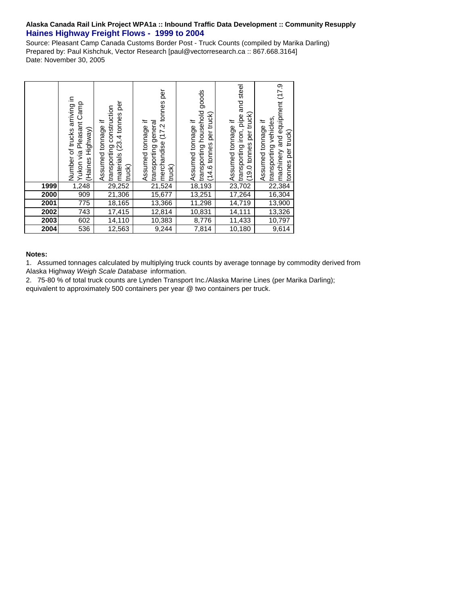## **Alaska Canada Rail Link Project WPA1a :: Inbound Traffic Data Development :: Community Resupply Haines Highway Freight Flows - 1999 to 2004**

Source: Pleasant Camp Canada Customs Border Post - Truck Counts (compiled by Marika Darling) Prepared by: Paul Kishchuk, Vector Research [paul@vectorresearch.ca :: 867.668.3164] Date: November 30, 2005

|      | arriving in<br>Camp<br>Yukon via Pleasant<br>Number of trucks<br>(Haines Highway) | per<br>transporting construction<br>materials (23.4 tonnes<br>Assumed tonnage if<br>truck) | per<br>merchandise (17.2 tonnes<br>Assumed tonnage if<br>transporting general<br>truck) | goods<br>transporting household<br>per truck)<br>Assumed tonnage if<br>$(14.6 \text{ tonnes})$ | and steel<br>per truck)<br>transporting iron, pipe<br>Assumed tonnage if<br>$(19.0 \text{ tonnes})$ | machinery and equipment (17.9<br>transporting vehicles,<br>Assumed tonnage if<br>tonnes per truck) |
|------|-----------------------------------------------------------------------------------|--------------------------------------------------------------------------------------------|-----------------------------------------------------------------------------------------|------------------------------------------------------------------------------------------------|-----------------------------------------------------------------------------------------------------|----------------------------------------------------------------------------------------------------|
| 1999 | 1,248                                                                             | 29,252                                                                                     | 21,524                                                                                  | 18,193                                                                                         | 23,702                                                                                              | 22,384                                                                                             |
| 2000 | 909                                                                               | 21,306                                                                                     | 15,677                                                                                  | 13,251                                                                                         | 17,264                                                                                              | 16,304                                                                                             |
| 2001 | 775                                                                               | 18,165                                                                                     | 13,366                                                                                  | 11,298                                                                                         | 14,719                                                                                              | 13,900                                                                                             |
| 2002 | 743                                                                               | 17,415                                                                                     | 12,814                                                                                  | 10,831                                                                                         | 14,111                                                                                              | 13,326                                                                                             |
| 2003 | 602                                                                               | 14,110                                                                                     | 10,383                                                                                  | 8,776                                                                                          | 11,433                                                                                              | 10,797                                                                                             |
| 2004 | 536                                                                               | 12,563                                                                                     | 9,244                                                                                   | 7,814                                                                                          | 10,180                                                                                              | 9,614                                                                                              |

## **Notes:**

1. Assumed tonnages calculated by multiplying truck counts by average tonnage by commodity derived from Alaska Highway *Weigh Scale Database* information.

2. 75-80 % of total truck counts are Lynden Transport Inc./Alaska Marine Lines (per Marika Darling); equivalent to approximately 500 containers per year @ two containers per truck.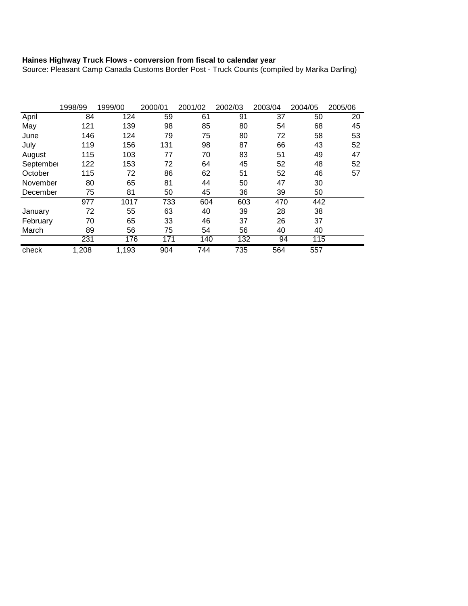## **Haines Highway Truck Flows - conversion from fiscal to calendar year**

Source: Pleasant Camp Canada Customs Border Post - Truck Counts (compiled by Marika Darling)

|           | 1998/99 | 1999/00 | 2000/01 | 2001/02 | 2002/03 | 2003/04 | 2004/05 | 2005/06 |
|-----------|---------|---------|---------|---------|---------|---------|---------|---------|
| April     | 84      | 124     | 59      | 61      | 91      | 37      | 50      | 20      |
| May       | 121     | 139     | 98      | 85      | 80      | 54      | 68      | 45      |
| June      | 146     | 124     | 79      | 75      | 80      | 72      | 58      | 53      |
| July      | 119     | 156     | 131     | 98      | 87      | 66      | 43      | 52      |
| August    | 115     | 103     | 77      | 70      | 83      | 51      | 49      | 47      |
| September | 122     | 153     | 72      | 64      | 45      | 52      | 48      | 52      |
| October   | 115     | 72      | 86      | 62      | 51      | 52      | 46      | 57      |
| November  | 80      | 65      | 81      | 44      | 50      | 47      | 30      |         |
| December  | 75      | 81      | 50      | 45      | 36      | 39      | 50      |         |
|           | 977     | 1017    | 733     | 604     | 603     | 470     | 442     |         |
| January   | 72      | 55      | 63      | 40      | 39      | 28      | 38      |         |
| February  | 70      | 65      | 33      | 46      | 37      | 26      | 37      |         |
| March     | 89      | 56      | 75      | 54      | 56      | 40      | 40      |         |
|           | 231     | 176     | 171     | 140     | 132     | 94      | 115     |         |
| check     | 1,208   | 1,193   | 904     | 744     | 735     | 564     | 557     |         |